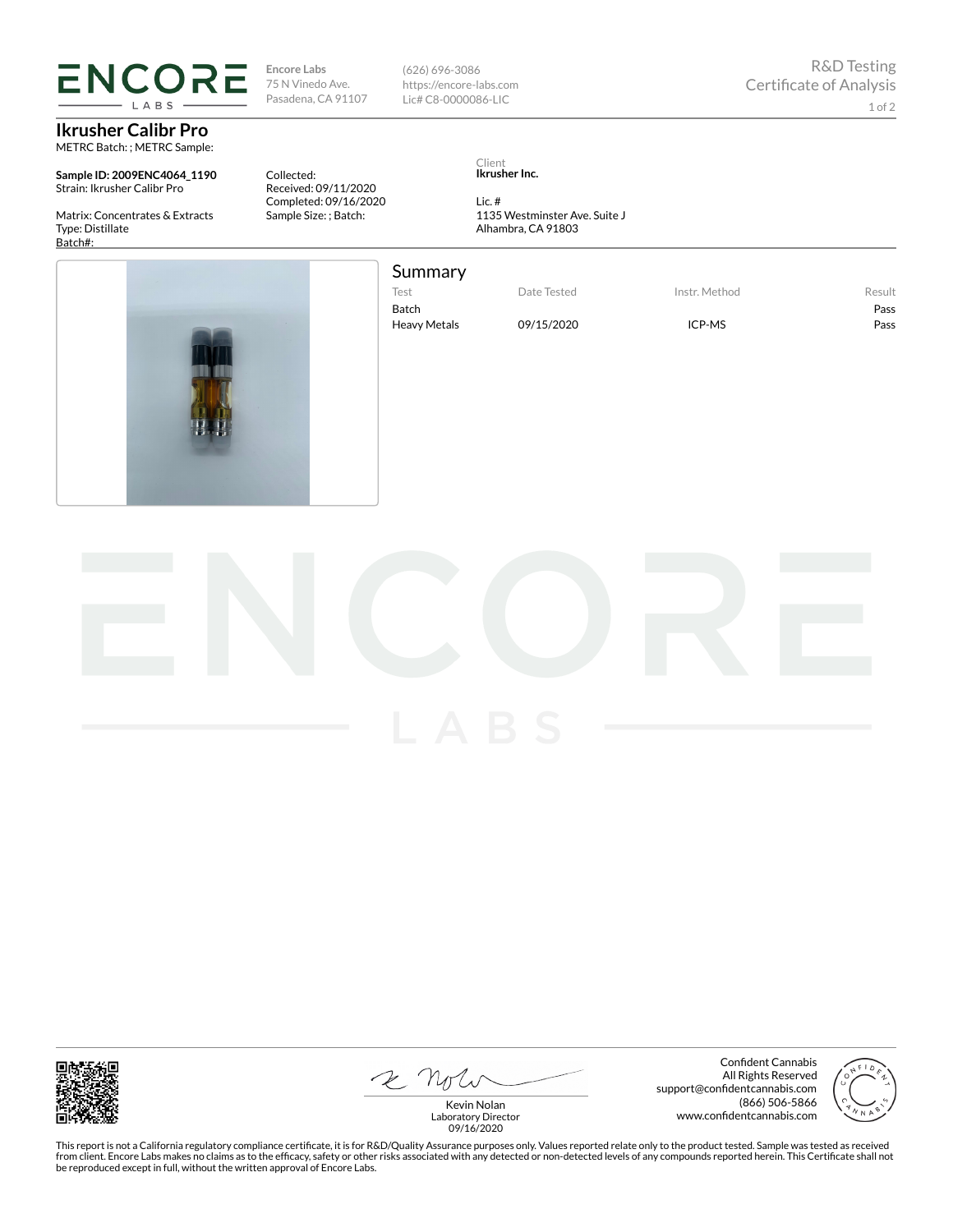## **ENCORE** LABS

**Ikrusher Calibr Pro** METRC Batch: ; METRC Sample:

**Sample ID: 2009ENC4064\_1190** Strain: Ikrusher Calibr Pro

Matrix: Concentrates & Extracts Type: Distillate Batch#:

Pasadena, CA 91107 (626) 696-3086 https://encore-labs.com Lic# C8-0000086-LIC

R&D Testing Certificate of Analysis 1 of 2

Collected: Received: 09/11/2020 Completed: 09/16/2020 Sample Size: ; Batch:

**Encore Labs** 75 N Vinedo Ave.

> Client **Ikrusher Inc.**

Lic. # 1135 Westminster Ave. Suite J Alhambra, CA 91803



## Summary

Test Date Tested Instr. Method Result

Batch Pass Heavy Metals 09/15/2020 ICP-MS ICP-MS



2 Note

Confident Cannabis All Rights Reserved support@confidentcannabis.com (866) 506-5866 www.confidentcannabis.com



Kevin Nolan Laboratory Director 09/16/2020

This report is not a California regulatory compliance certificate, it is for R&D/Quality Assurance purposes only. Values reported relate only to the product tested. Sample was tested as received from client. Encore Labs makes no claims as to the efficacy, safety or other risks associated with any detected or non-detected levels of any compounds reported herein. This Certificate shall not<br>be reproduced except in fu